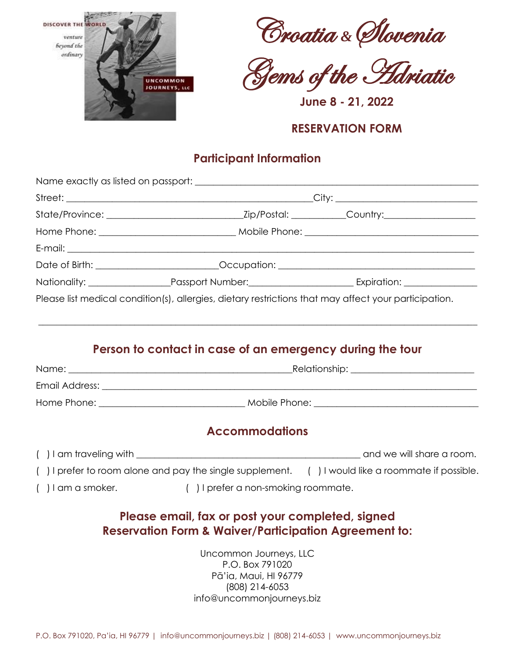





**June 8 - 21, 2022**

### **RESERVATION FORM**

# **Participant Information**

|                                                                                                       | Date of Birth: __________________________Occupation: ___________________________ |
|-------------------------------------------------------------------------------------------------------|----------------------------------------------------------------------------------|
|                                                                                                       |                                                                                  |
| Please list medical condition(s), allergies, dietary restrictions that may affect your participation. |                                                                                  |

# **Person to contact in case of an emergency during the tour**

 $\_$  ,  $\_$  ,  $\_$  ,  $\_$  ,  $\_$  ,  $\_$  ,  $\_$  ,  $\_$  ,  $\_$  ,  $\_$  ,  $\_$  ,  $\_$  ,  $\_$  ,  $\_$  ,  $\_$  ,  $\_$  ,  $\_$  ,  $\_$  ,  $\_$  ,  $\_$  ,  $\_$  ,  $\_$  ,  $\_$  ,  $\_$  ,  $\_$  ,  $\_$  ,  $\_$  ,  $\_$  ,  $\_$  ,  $\_$  ,  $\_$  ,  $\_$  ,  $\_$  ,  $\_$  ,  $\_$  ,  $\_$  ,  $\_$  ,

| Name:          | _Relationship: ___ |  |
|----------------|--------------------|--|
| Email Address: |                    |  |
| Home Phone:    | Mobile Phone:      |  |

## **Accommodations**

| () I am traveling with                                      | and we will share a room.               |
|-------------------------------------------------------------|-----------------------------------------|
| I prefer to room alone and pay the single supplement.       | () I would like a roommate if possible. |
| () I prefer a non-smoking roommate.<br>$( )$ I am a smoker. |                                         |

## **Please email, fax or post your completed, signed Reservation Form & Waiver/Participation Agreement to:**

Uncommon Journeys, LLC P.O. Box 791020 Pā'ia, Maui, HI 96779 (808) 214-6053 info@uncommonjourneys.biz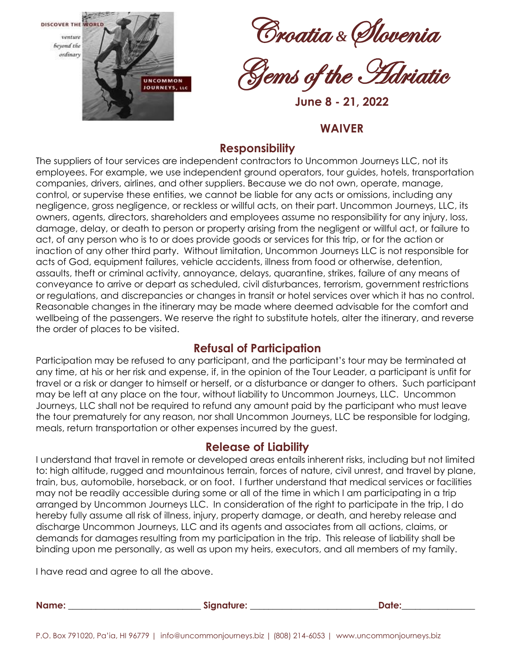

Croatia *&*Slovenia



**June 8 - 21, 2022**

#### **WAIVER**

### **Responsibility**

The suppliers of tour services are independent contractors to Uncommon Journeys LLC, not its employees. For example, we use independent ground operators, tour guides, hotels, transportation companies, drivers, airlines, and other suppliers. Because we do not own, operate, manage, control, or supervise these entities, we cannot be liable for any acts or omissions, including any negligence, gross negligence, or reckless or willful acts, on their part. Uncommon Journeys, LLC, its owners, agents, directors, shareholders and employees assume no responsibility for any injury, loss, damage, delay, or death to person or property arising from the negligent or willful act, or failure to act, of any person who is to or does provide goods or services for this trip, or for the action or inaction of any other third party. Without limitation, Uncommon Journeys LLC is not responsible for acts of God, equipment failures, vehicle accidents, illness from food or otherwise, detention, assaults, theft or criminal activity, annoyance, delays, quarantine, strikes, failure of any means of conveyance to arrive or depart as scheduled, civil disturbances, terrorism, government restrictions or regulations, and discrepancies or changes in transit or hotel services over which it has no control. Reasonable changes in the itinerary may be made where deemed advisable for the comfort and wellbeing of the passengers. We reserve the right to substitute hotels, alter the itinerary, and reverse the order of places to be visited.

### **Refusal of Participation**

Participation may be refused to any participant, and the participant's tour may be terminated at any time, at his or her risk and expense, if, in the opinion of the Tour Leader, a participant is unfit for travel or a risk or danger to himself or herself, or a disturbance or danger to others. Such participant may be left at any place on the tour, without liability to Uncommon Journeys, LLC. Uncommon Journeys, LLC shall not be required to refund any amount paid by the participant who must leave the tour prematurely for any reason, nor shall Uncommon Journeys, LLC be responsible for lodging, meals, return transportation or other expenses incurred by the guest.

#### **Release of Liability**

I understand that travel in remote or developed areas entails inherent risks, including but not limited to: high altitude, rugged and mountainous terrain, forces of nature, civil unrest, and travel by plane, train, bus, automobile, horseback, or on foot. I further understand that medical services or facilities may not be readily accessible during some or all of the time in which I am participating in a trip arranged by Uncommon Journeys LLC. In consideration of the right to participate in the trip, I do hereby fully assume all risk of illness, injury, property damage, or death, and hereby release and discharge Uncommon Journeys, LLC and its agents and associates from all actions, claims, or demands for damages resulting from my participation in the trip. This release of liability shall be binding upon me personally, as well as upon my heirs, executors, and all members of my family.

I have read and agree to all the above.

**Name: \_\_\_\_\_\_\_\_\_\_\_\_\_\_\_\_\_\_\_\_\_\_\_\_\_\_\_\_\_ Signature: \_\_\_\_\_\_\_\_\_\_\_\_\_\_\_\_\_\_\_\_\_\_\_\_\_\_\_\_Date:\_\_\_\_\_\_\_\_\_\_\_\_\_\_\_\_**